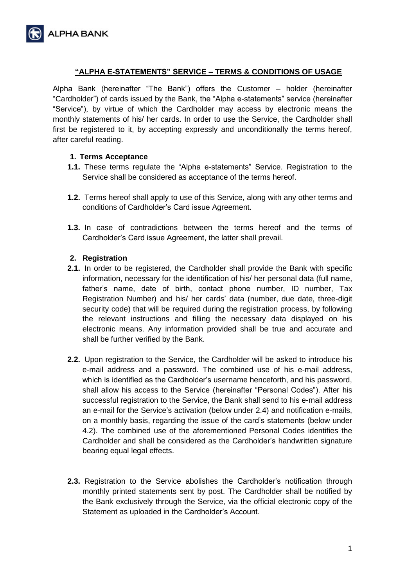

## **"ALPHA E-STATEMENTS" SERVICE – TERMS & CONDITIONS OF USAGE**

Alpha Bank (hereinafter "The Bank") offers the Customer – holder (hereinafter "Cardholder") of cards issued by the Bank, the "Alpha e-statements" service (hereinafter "Service"), by virtue of which the Cardholder may access by electronic means the monthly statements of his/ her cards. In order to use the Service, the Cardholder shall first be registered to it, by accepting expressly and unconditionally the terms hereof, after careful reading.

#### **1. Terms Acceptance**

- **1.1.** These terms regulate the "Alpha e-statements" Service. Registration to the Service shall be considered as acceptance of the terms hereof.
- **1.2.** Terms hereof shall apply to use of this Service, along with any other terms and conditions of Cardholder's Card issue Agreement.
- **1.3.** In case of contradictions between the terms hereof and the terms of Cardholder's Card issue Agreement, the latter shall prevail.

#### **2. Registration**

- **2.1.** In order to be registered, the Cardholder shall provide the Bank with specific information, necessary for the identification of his/ her personal data (full name, father's name, date of birth, contact phone number, ID number, Tax Registration Number) and his/ her cards' data (number, due date, three-digit security code) that will be required during the registration process, by following the relevant instructions and filling the necessary data displayed on his electronic means. Any information provided shall be true and accurate and shall be further verified by the Bank.
- **2.2.** Upon registration to the Service, the Cardholder will be asked to introduce his e-mail address and a password. The combined use of his e-mail address, which is identified as the Cardholder's username henceforth, and his password, shall allow his access to the Service (hereinafter "Personal Codes"). After his successful registration to the Service, the Bank shall send to his e-mail address an e-mail for the Service's activation (below under 2.4) and notification e-mails, on a monthly basis, regarding the issue of the card's statements (below under 4.2). The combined use of the aforementioned Personal Codes identifies the Cardholder and shall be considered as the Cardholder's handwritten signature bearing equal legal effects.
- **2.3.** Registration to the Service abolishes the Cardholder's notification through monthly printed statements sent by post. The Cardholder shall be notified by the Bank exclusively through the Service, via the official electronic copy of the Statement as uploaded in the Cardholder's Account.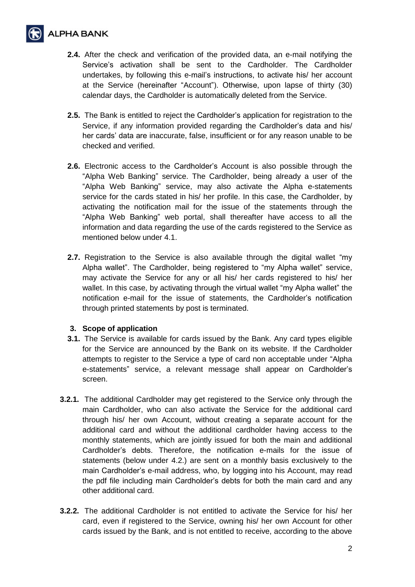

- **2.4.** After the check and verification of the provided data, an e-mail notifying the Service's activation shall be sent to the Cardholder. The Cardholder undertakes, by following this e-mail's instructions, to activate his/ her account at the Service (hereinafter "Account"). Otherwise, upon lapse of thirty (30) calendar days, the Cardholder is automatically deleted from the Service.
- **2.5.** The Bank is entitled to reject the Cardholder's application for registration to the Service, if any information provided regarding the Cardholder's data and his/ her cards' data are inaccurate, false, insufficient or for any reason unable to be checked and verified.
- **2.6.** Electronic access to the Cardholder's Account is also possible through the "Alpha Web Banking" service. The Cardholder, being already a user of the "Alpha Web Banking" service, may also activate the Alpha e-statements service for the cards stated in his/ her profile. In this case, the Cardholder, by activating the notification mail for the issue of the statements through the "Alpha Web Banking" web portal, shall thereafter have access to all the information and data regarding the use of the cards registered to the Service as mentioned below under 4.1.
- **2.7.** Registration to the Service is also available through the digital wallet "my Alpha wallet". The Cardholder, being registered to "my Alpha wallet" service, may activate the Service for any or all his/ her cards registered to his/ her wallet. In this case, by activating through the virtual wallet "my Alpha wallet" the notification e-mail for the issue of statements, the Cardholder's notification through printed statements by post is terminated.

### **3. Scope of application**

- **3.1.** The Service is available for cards issued by the Bank. Any card types eligible for the Service are announced by the Bank on its website. If the Cardholder attempts to register to the Service a type of card non acceptable under "Alpha e-statements" service, a relevant message shall appear on Cardholder's screen.
- **3.2.1.** The additional Cardholder may get registered to the Service only through the main Cardholder, who can also activate the Service for the additional card through his/ her own Account, without creating a separate account for the additional card and without the additional cardholder having access to the monthly statements, which are jointly issued for both the main and additional Cardholder's debts. Therefore, the notification e-mails for the issue of statements (below under 4.2.) are sent on a monthly basis exclusively to the main Cardholder's e-mail address, who, by logging into his Account, may read the pdf file including main Cardholder's debts for both the main card and any other additional card.
- **3.2.2.** The additional Cardholder is not entitled to activate the Service for his/ her card, even if registered to the Service, owning his/ her own Account for other cards issued by the Bank, and is not entitled to receive, according to the above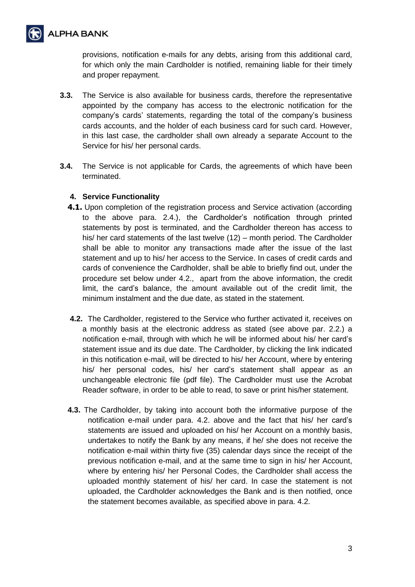

provisions, notification e-mails for any debts, arising from this additional card, for which only the main Cardholder is notified, remaining liable for their timely and proper repayment.

- **3.3.** The Service is also available for business cards, therefore the representative appointed by the company has access to the electronic notification for the company's cards' statements, regarding the total of the company's business cards accounts, and the holder of each business card for such card. However, in this last case, the cardholder shall own already a separate Account to the Service for his/ her personal cards.
- **3.4.** The Service is not applicable for Cards, the agreements of which have been terminated.

# **4. Service Functionality**

- **4.1.** Upon completion of the registration process and Service activation (according to the above para. 2.4.), the Cardholder's notification through printed statements by post is terminated, and the Cardholder thereon has access to his/ her card statements of the last twelve (12) – month period. The Cardholder shall be able to monitor any transactions made after the issue of the last statement and up to his/ her access to the Service. In cases of credit cards and cards of convenience the Cardholder, shall be able to briefly find out, under the procedure set below under 4.2., apart from the above information, the credit limit, the card's balance, the amount available out of the credit limit, the minimum instalment and the due date, as stated in the statement.
- **4.2.** The Cardholder, registered to the Service who further activated it, receives on a monthly basis at the electronic address as stated (see above par. 2.2.) a notification e-mail, through with which he will be informed about his/ her card's statement issue and its due date. The Cardholder, by clicking the link indicated in this notification e-mail, will be directed to his/ her Account, where by entering his/ her personal codes, his/ her card's statement shall appear as an unchangeable electronic file (pdf file). The Cardholder must use the Acrobat Reader software, in order to be able to read, to save or print his/her statement.
- **4.3.** The Cardholder, by taking into account both the informative purpose of the notification e-mail under para. 4.2. above and the fact that his/ her card's statements are issued and uploaded on his/ her Account on a monthly basis, undertakes to notify the Bank by any means, if he/ she does not receive the notification e-mail within thirty five (35) calendar days since the receipt of the previous notification e-mail, and at the same time to sign in his/ her Account, where by entering his/ her Personal Codes, the Cardholder shall access the uploaded monthly statement of his/ her card. In case the statement is not uploaded, the Cardholder acknowledges the Bank and is then notified, once the statement becomes available, as specified above in para. 4.2.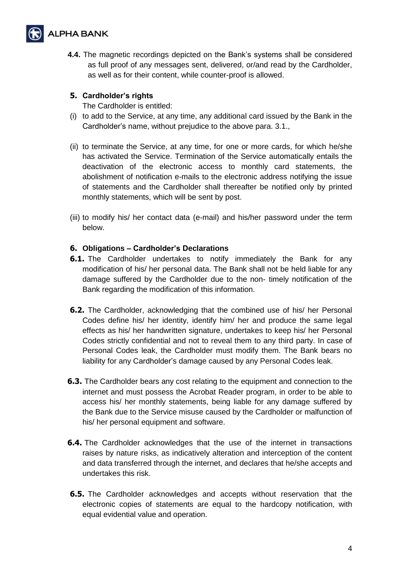

**4.4.** The magnetic recordings depicted on the Bank's systems shall be considered as full proof of any messages sent, delivered, or/and read by the Cardholder, as well as for their content, while counter-proof is allowed.

### **5. Cardholder's rights**

The Cardholder is entitled:

- (i) to add to the Service, at any time, any additional card issued by the Bank in the Cardholder's name, without prejudice to the above para. 3.1.,
- (ii) to terminate the Service, at any time, for one or more cards, for which he/she has activated the Service. Termination of the Service automatically entails the deactivation of the electronic access to monthly card statements, the abolishment of notification e-mails to the electronic address notifying the issue of statements and the Cardholder shall thereafter be notified only by printed monthly statements, which will be sent by post.
- (iii) to modify his/ her contact data (e-mail) and his/her password under the term below.

# **6. Obligations – Cardholder's Declarations**

- **6.1.** The Cardholder undertakes to notify immediately the Bank for any modification of his/ her personal data. The Bank shall not be held liable for any damage suffered by the Cardholder due to the non- timely notification of the Bank regarding the modification of this information.
- **6.2.** The Cardholder, acknowledging that the combined use of his/ her Personal Codes define his/ her identity, identify him/ her and produce the same legal effects as his/ her handwritten signature, undertakes to keep his/ her Personal Codes strictly confidential and not to reveal them to any third party. In case of Personal Codes leak, the Cardholder must modify them. The Bank bears no liability for any Cardholder's damage caused by any Personal Codes leak.
- **6.3.** The Cardholder bears any cost relating to the equipment and connection to the internet and must possess the Acrobat Reader program, in order to be able to access his/ her monthly statements, being liable for any damage suffered by the Bank due to the Service misuse caused by the Cardholder or malfunction of his/ her personal equipment and software.
- **6.4.** The Cardholder acknowledges that the use of the internet in transactions raises by nature risks, as indicatively alteration and interception of the content and data transferred through the internet, and declares that he/she accepts and undertakes this risk.
- **6.5.** The Cardholder acknowledges and accepts without reservation that the electronic copies of statements are equal to the hardcopy notification, with equal evidential value and operation.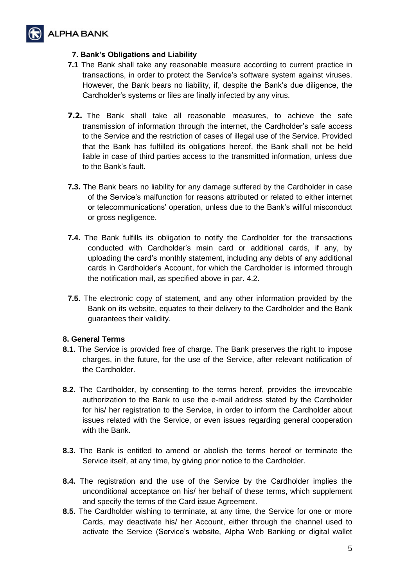

# **7. Bank's Obligations and Liability**

- **7.1** The Bank shall take any reasonable measure according to current practice in transactions, in order to protect the Service's software system against viruses. However, the Bank bears no liability, if, despite the Bank's due diligence, the Cardholder's systems or files are finally infected by any virus.
- **7.2.** The Bank shall take all reasonable measures, to achieve the safe transmission of information through the internet, the Cardholder's safe access to the Service and the restriction of cases of illegal use of the Service. Provided that the Bank has fulfilled its obligations hereof, the Bank shall not be held liable in case of third parties access to the transmitted information, unless due to the Bank's fault.
- **7.3.** The Bank bears no liability for any damage suffered by the Cardholder in case of the Service's malfunction for reasons attributed or related to either internet or telecommunications' operation, unless due to the Bank's willful misconduct or gross negligence.
- **7.4.** The Bank fulfills its obligation to notify the Cardholder for the transactions conducted with Cardholder's main card or additional cards, if any, by uploading the card's monthly statement, including any debts of any additional cards in Cardholder's Account, for which the Cardholder is informed through the notification mail, as specified above in par. 4.2.
- **7.5.** The electronic copy of statement, and any other information provided by the Bank on its website, equates to their delivery to the Cardholder and the Bank guarantees their validity.

### **8. General Terms**

- **8.1.** The Service is provided free of charge. The Bank preserves the right to impose charges, in the future, for the use of the Service, after relevant notification of the Cardholder.
- **8.2.** The Cardholder, by consenting to the terms hereof, provides the irrevocable authorization to the Bank to use the e-mail address stated by the Cardholder for his/ her registration to the Service, in order to inform the Cardholder about issues related with the Service, or even issues regarding general cooperation with the Bank.
- **8.3.** The Bank is entitled to amend or abolish the terms hereof or terminate the Service itself, at any time, by giving prior notice to the Cardholder.
- **8.4.** The registration and the use of the Service by the Cardholder implies the unconditional acceptance on his/ her behalf of these terms, which supplement and specify the terms of the Card issue Agreement.
- **8.5.** The Cardholder wishing to terminate, at any time, the Service for one or more Cards, may deactivate his/ her Account, either through the channel used to activate the Service (Service's website, Alpha Web Banking or digital wallet